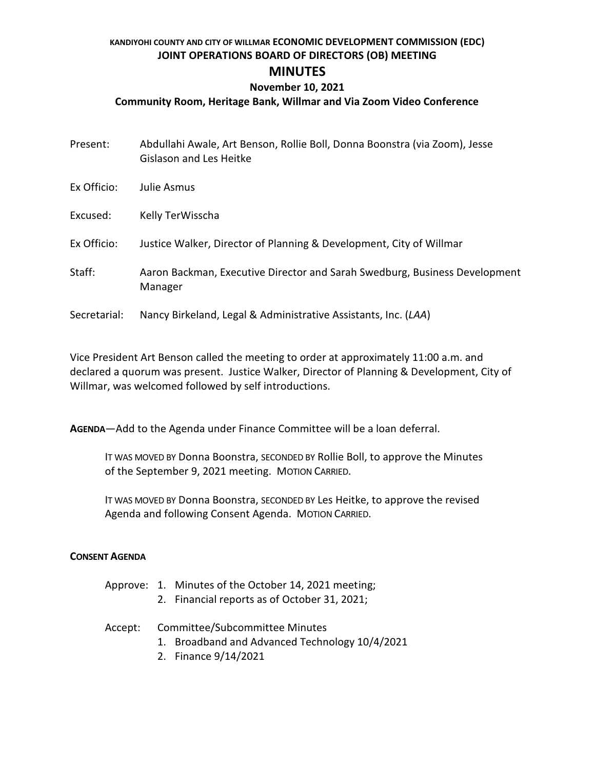## **KANDIYOHI COUNTY AND CITY OF WILLMAR ECONOMIC DEVELOPMENT COMMISSION (EDC) JOINT OPERATIONS BOARD OF DIRECTORS (OB) MEETING MINUTES**

## **November 10, 2021**

## **Community Room, Heritage Bank, Willmar and Via Zoom Video Conference**

| Present:     | Abdullahi Awale, Art Benson, Rollie Boll, Donna Boonstra (via Zoom), Jesse<br><b>Gislason and Les Heitke</b> |
|--------------|--------------------------------------------------------------------------------------------------------------|
| Ex Officio:  | Julie Asmus                                                                                                  |
| Excused:     | Kelly TerWisscha                                                                                             |
| Ex Officio:  | Justice Walker, Director of Planning & Development, City of Willmar                                          |
| Staff:       | Aaron Backman, Executive Director and Sarah Swedburg, Business Development<br>Manager                        |
| Secretarial: | Nancy Birkeland, Legal & Administrative Assistants, Inc. (LAA)                                               |

Vice President Art Benson called the meeting to order at approximately 11:00 a.m. and declared a quorum was present. Justice Walker, Director of Planning & Development, City of Willmar, was welcomed followed by self introductions.

**AGENDA**—Add to the Agenda under Finance Committee will be a loan deferral.

IT WAS MOVED BY Donna Boonstra, SECONDED BY Rollie Boll, to approve the Minutes of the September 9, 2021 meeting. MOTION CARRIED.

IT WAS MOVED BY Donna Boonstra, SECONDED BY Les Heitke, to approve the revised Agenda and following Consent Agenda. MOTION CARRIED.

### **CONSENT AGENDA**

- Approve: 1. Minutes of the October 14, 2021 meeting;
	- 2. Financial reports as of October 31, 2021;

#### Accept: Committee/Subcommittee Minutes

- 1. Broadband and Advanced Technology 10/4/2021
- 2. Finance 9/14/2021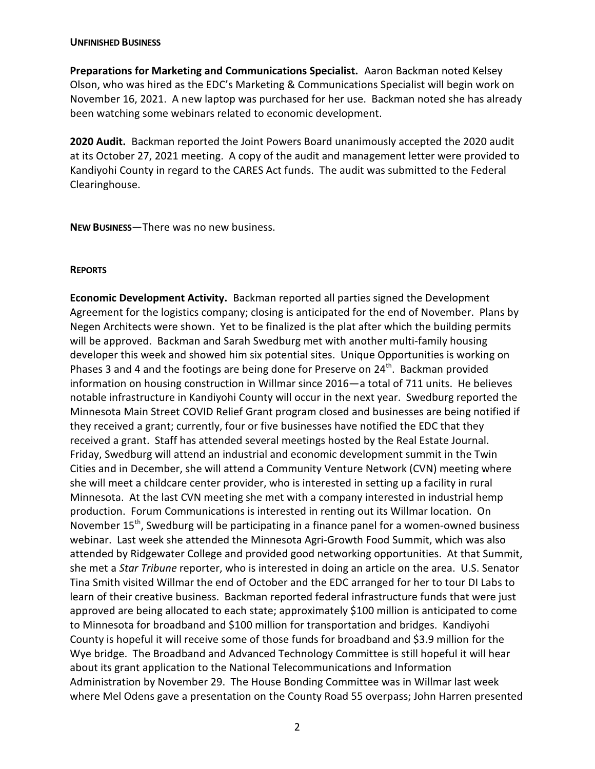#### **UNFINISHED BUSINESS**

**Preparations for Marketing and Communications Specialist.** Aaron Backman noted Kelsey Olson, who was hired as the EDC's Marketing & Communications Specialist will begin work on November 16, 2021. A new laptop was purchased for her use. Backman noted she has already been watching some webinars related to economic development.

**2020 Audit.** Backman reported the Joint Powers Board unanimously accepted the 2020 audit at its October 27, 2021 meeting. A copy of the audit and management letter were provided to Kandiyohi County in regard to the CARES Act funds. The audit was submitted to the Federal Clearinghouse.

**NEW BUSINESS**—There was no new business.

#### **REPORTS**

**Economic Development Activity.** Backman reported all parties signed the Development Agreement for the logistics company; closing is anticipated for the end of November. Plans by Negen Architects were shown. Yet to be finalized is the plat after which the building permits will be approved. Backman and Sarah Swedburg met with another multi-family housing developer this week and showed him six potential sites. Unique Opportunities is working on Phases 3 and 4 and the footings are being done for Preserve on 24<sup>th</sup>. Backman provided information on housing construction in Willmar since 2016—a total of 711 units. He believes notable infrastructure in Kandiyohi County will occur in the next year. Swedburg reported the Minnesota Main Street COVID Relief Grant program closed and businesses are being notified if they received a grant; currently, four or five businesses have notified the EDC that they received a grant. Staff has attended several meetings hosted by the Real Estate Journal. Friday, Swedburg will attend an industrial and economic development summit in the Twin Cities and in December, she will attend a Community Venture Network (CVN) meeting where she will meet a childcare center provider, who is interested in setting up a facility in rural Minnesota. At the last CVN meeting she met with a company interested in industrial hemp production. Forum Communications is interested in renting out its Willmar location. On November 15<sup>th</sup>, Swedburg will be participating in a finance panel for a women-owned business webinar. Last week she attended the Minnesota Agri-Growth Food Summit, which was also attended by Ridgewater College and provided good networking opportunities. At that Summit, she met a *Star Tribune* reporter, who is interested in doing an article on the area. U.S. Senator Tina Smith visited Willmar the end of October and the EDC arranged for her to tour DI Labs to learn of their creative business. Backman reported federal infrastructure funds that were just approved are being allocated to each state; approximately \$100 million is anticipated to come to Minnesota for broadband and \$100 million for transportation and bridges. Kandiyohi County is hopeful it will receive some of those funds for broadband and \$3.9 million for the Wye bridge. The Broadband and Advanced Technology Committee is still hopeful it will hear about its grant application to the National Telecommunications and Information Administration by November 29. The House Bonding Committee was in Willmar last week where Mel Odens gave a presentation on the County Road 55 overpass; John Harren presented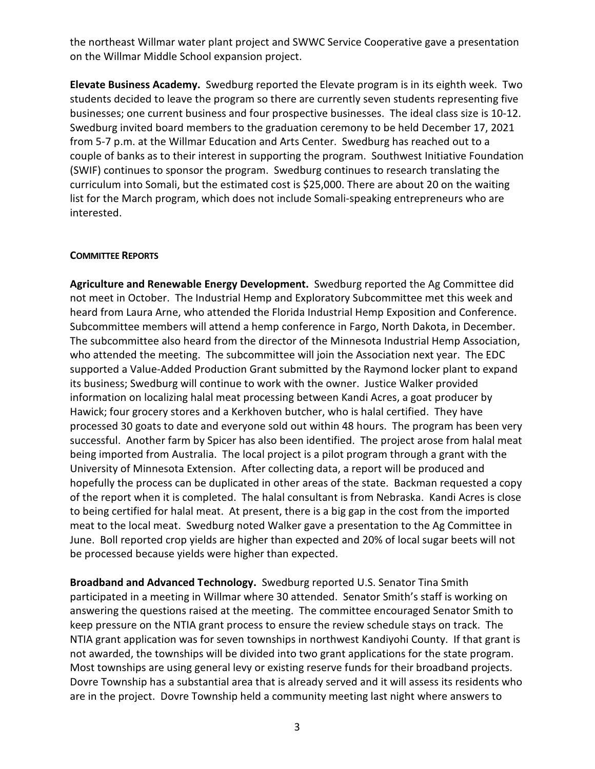the northeast Willmar water plant project and SWWC Service Cooperative gave a presentation on the Willmar Middle School expansion project.

**Elevate Business Academy.** Swedburg reported the Elevate program is in its eighth week. Two students decided to leave the program so there are currently seven students representing five businesses; one current business and four prospective businesses. The ideal class size is 10-12. Swedburg invited board members to the graduation ceremony to be held December 17, 2021 from 5-7 p.m. at the Willmar Education and Arts Center. Swedburg has reached out to a couple of banks as to their interest in supporting the program. Southwest Initiative Foundation (SWIF) continues to sponsor the program. Swedburg continues to research translating the curriculum into Somali, but the estimated cost is \$25,000. There are about 20 on the waiting list for the March program, which does not include Somali-speaking entrepreneurs who are interested.

### **COMMITTEE REPORTS**

**Agriculture and Renewable Energy Development.** Swedburg reported the Ag Committee did not meet in October. The Industrial Hemp and Exploratory Subcommittee met this week and heard from Laura Arne, who attended the Florida Industrial Hemp Exposition and Conference. Subcommittee members will attend a hemp conference in Fargo, North Dakota, in December. The subcommittee also heard from the director of the Minnesota Industrial Hemp Association, who attended the meeting. The subcommittee will join the Association next year. The EDC supported a Value-Added Production Grant submitted by the Raymond locker plant to expand its business; Swedburg will continue to work with the owner. Justice Walker provided information on localizing halal meat processing between Kandi Acres, a goat producer by Hawick; four grocery stores and a Kerkhoven butcher, who is halal certified. They have processed 30 goats to date and everyone sold out within 48 hours. The program has been very successful. Another farm by Spicer has also been identified. The project arose from halal meat being imported from Australia. The local project is a pilot program through a grant with the University of Minnesota Extension. After collecting data, a report will be produced and hopefully the process can be duplicated in other areas of the state. Backman requested a copy of the report when it is completed. The halal consultant is from Nebraska. Kandi Acres is close to being certified for halal meat. At present, there is a big gap in the cost from the imported meat to the local meat. Swedburg noted Walker gave a presentation to the Ag Committee in June. Boll reported crop yields are higher than expected and 20% of local sugar beets will not be processed because yields were higher than expected.

**Broadband and Advanced Technology.** Swedburg reported U.S. Senator Tina Smith participated in a meeting in Willmar where 30 attended. Senator Smith's staff is working on answering the questions raised at the meeting. The committee encouraged Senator Smith to keep pressure on the NTIA grant process to ensure the review schedule stays on track. The NTIA grant application was for seven townships in northwest Kandiyohi County. If that grant is not awarded, the townships will be divided into two grant applications for the state program. Most townships are using general levy or existing reserve funds for their broadband projects. Dovre Township has a substantial area that is already served and it will assess its residents who are in the project. Dovre Township held a community meeting last night where answers to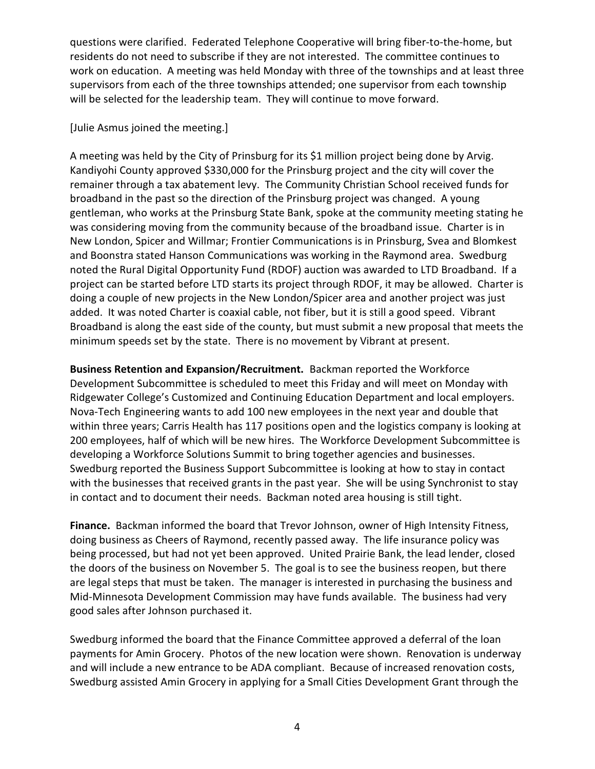questions were clarified. Federated Telephone Cooperative will bring fiber-to-the-home, but residents do not need to subscribe if they are not interested. The committee continues to work on education. A meeting was held Monday with three of the townships and at least three supervisors from each of the three townships attended; one supervisor from each township will be selected for the leadership team. They will continue to move forward.

# [Julie Asmus joined the meeting.]

A meeting was held by the City of Prinsburg for its \$1 million project being done by Arvig. Kandiyohi County approved \$330,000 for the Prinsburg project and the city will cover the remainer through a tax abatement levy. The Community Christian School received funds for broadband in the past so the direction of the Prinsburg project was changed. A young gentleman, who works at the Prinsburg State Bank, spoke at the community meeting stating he was considering moving from the community because of the broadband issue. Charter is in New London, Spicer and Willmar; Frontier Communications is in Prinsburg, Svea and Blomkest and Boonstra stated Hanson Communications was working in the Raymond area. Swedburg noted the Rural Digital Opportunity Fund (RDOF) auction was awarded to LTD Broadband. If a project can be started before LTD starts its project through RDOF, it may be allowed. Charter is doing a couple of new projects in the New London/Spicer area and another project was just added. It was noted Charter is coaxial cable, not fiber, but it is still a good speed. Vibrant Broadband is along the east side of the county, but must submit a new proposal that meets the minimum speeds set by the state. There is no movement by Vibrant at present.

**Business Retention and Expansion/Recruitment.** Backman reported the Workforce Development Subcommittee is scheduled to meet this Friday and will meet on Monday with Ridgewater College's Customized and Continuing Education Department and local employers. Nova-Tech Engineering wants to add 100 new employees in the next year and double that within three years; Carris Health has 117 positions open and the logistics company is looking at 200 employees, half of which will be new hires. The Workforce Development Subcommittee is developing a Workforce Solutions Summit to bring together agencies and businesses. Swedburg reported the Business Support Subcommittee is looking at how to stay in contact with the businesses that received grants in the past year. She will be using Synchronist to stay in contact and to document their needs. Backman noted area housing is still tight.

**Finance.** Backman informed the board that Trevor Johnson, owner of High Intensity Fitness, doing business as Cheers of Raymond, recently passed away. The life insurance policy was being processed, but had not yet been approved. United Prairie Bank, the lead lender, closed the doors of the business on November 5. The goal is to see the business reopen, but there are legal steps that must be taken. The manager is interested in purchasing the business and Mid-Minnesota Development Commission may have funds available. The business had very good sales after Johnson purchased it.

Swedburg informed the board that the Finance Committee approved a deferral of the loan payments for Amin Grocery. Photos of the new location were shown. Renovation is underway and will include a new entrance to be ADA compliant. Because of increased renovation costs, Swedburg assisted Amin Grocery in applying for a Small Cities Development Grant through the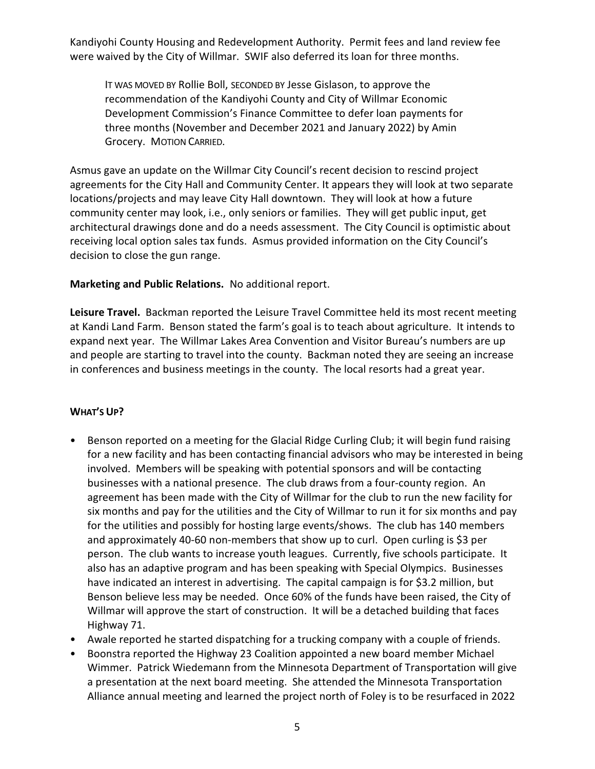Kandiyohi County Housing and Redevelopment Authority. Permit fees and land review fee were waived by the City of Willmar. SWIF also deferred its loan for three months.

IT WAS MOVED BY Rollie Boll, SECONDED BY Jesse Gislason, to approve the recommendation of the Kandiyohi County and City of Willmar Economic Development Commission's Finance Committee to defer loan payments for three months (November and December 2021 and January 2022) by Amin Grocery. MOTION CARRIED.

Asmus gave an update on the Willmar City Council's recent decision to rescind project agreements for the City Hall and Community Center. It appears they will look at two separate locations/projects and may leave City Hall downtown. They will look at how a future community center may look, i.e., only seniors or families. They will get public input, get architectural drawings done and do a needs assessment. The City Council is optimistic about receiving local option sales tax funds. Asmus provided information on the City Council's decision to close the gun range.

## **Marketing and Public Relations.** No additional report.

**Leisure Travel.** Backman reported the Leisure Travel Committee held its most recent meeting at Kandi Land Farm. Benson stated the farm's goal is to teach about agriculture. It intends to expand next year. The Willmar Lakes Area Convention and Visitor Bureau's numbers are up and people are starting to travel into the county. Backman noted they are seeing an increase in conferences and business meetings in the county. The local resorts had a great year.

# **WHAT'S UP?**

- Benson reported on a meeting for the Glacial Ridge Curling Club; it will begin fund raising for a new facility and has been contacting financial advisors who may be interested in being involved. Members will be speaking with potential sponsors and will be contacting businesses with a national presence. The club draws from a four-county region. An agreement has been made with the City of Willmar for the club to run the new facility for six months and pay for the utilities and the City of Willmar to run it for six months and pay for the utilities and possibly for hosting large events/shows. The club has 140 members and approximately 40-60 non-members that show up to curl. Open curling is \$3 per person. The club wants to increase youth leagues. Currently, five schools participate. It also has an adaptive program and has been speaking with Special Olympics. Businesses have indicated an interest in advertising. The capital campaign is for \$3.2 million, but Benson believe less may be needed. Once 60% of the funds have been raised, the City of Willmar will approve the start of construction. It will be a detached building that faces Highway 71.
- Awale reported he started dispatching for a trucking company with a couple of friends.
- Boonstra reported the Highway 23 Coalition appointed a new board member Michael Wimmer. Patrick Wiedemann from the Minnesota Department of Transportation will give a presentation at the next board meeting. She attended the Minnesota Transportation Alliance annual meeting and learned the project north of Foley is to be resurfaced in 2022